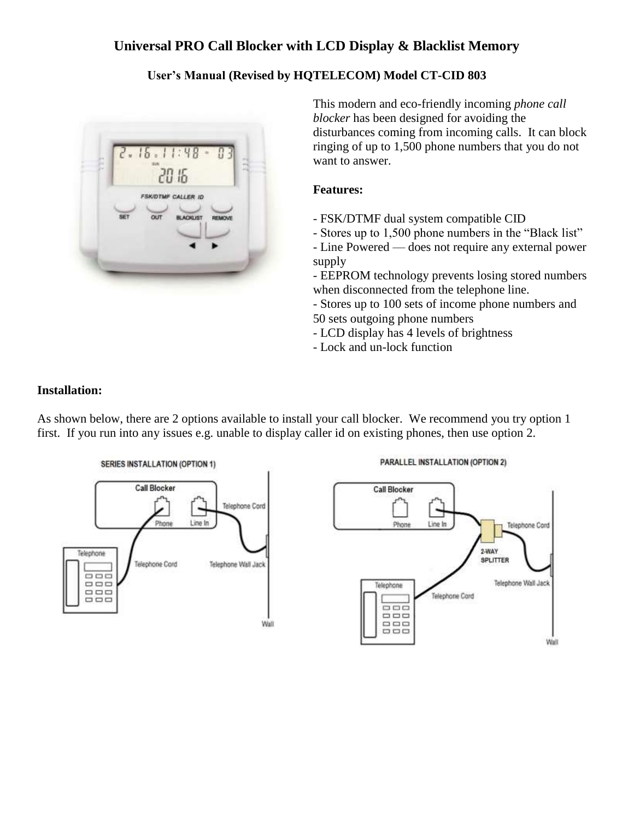# **Universal PRO Call Blocker with LCD Display & Blacklist Memory**

# **User's Manual (Revised by HQTELECOM) Model CT-CID 803**



This modern and eco-friendly incoming *phone call blocker* has been designed for avoiding the disturbances coming from incoming calls. It can block ringing of up to 1,500 phone numbers that you do not want to answer.

#### **Features:**

- FSK/DTMF dual system compatible CID
- Stores up to 1,500 phone numbers in the "Black list"
- Line Powered does not require any external power supply

- EEPROM technology prevents losing stored numbers when disconnected from the telephone line.

- Stores up to 100 sets of income phone numbers and 50 sets outgoing phone numbers

- LCD display has 4 levels of brightness

- Lock and un-lock function

#### **Installation:**

As shown below, there are 2 options available to install your call blocker. We recommend you try option 1 first. If you run into any issues e.g. unable to display caller id on existing phones, then use option 2.



#### PARALLEL INSTALLATION (OPTION 2)